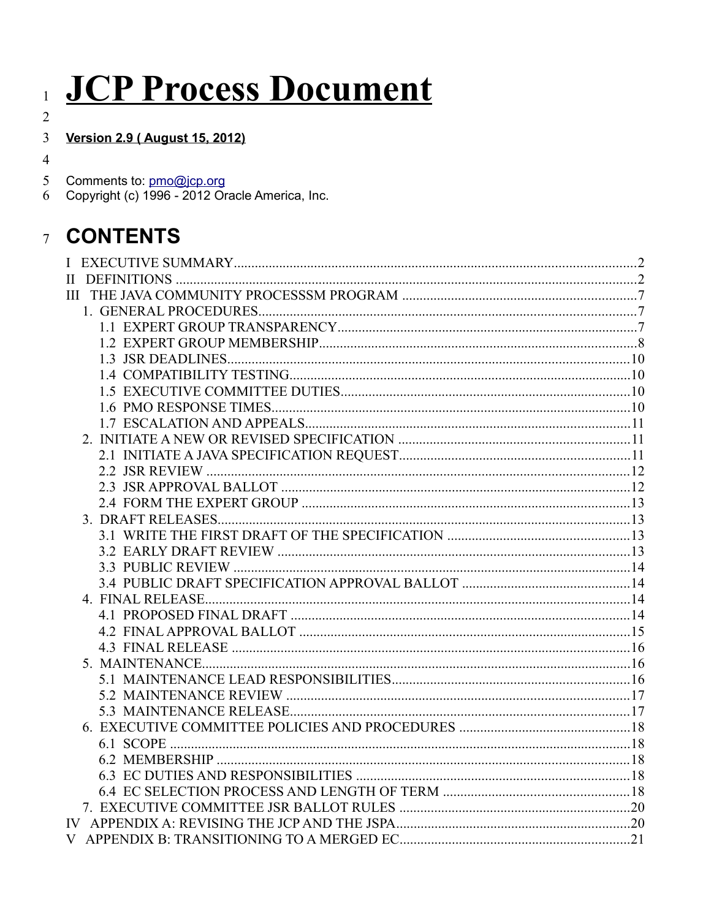# JCP Process Document

| I |
|---|
|   |
|   |
|   |

# Version 2.9 (August 15, 2012)  $\overline{3}$

 $\overline{4}$ 

| 5 Comments to: pmo@jcp.org |  |
|----------------------------|--|
|----------------------------|--|

Comments to: pmo@jcp.org<br>Copyright (c) 1996 - 2012 Oracle America, Inc. 6

# **CONTENTS**  $7\overline{ }$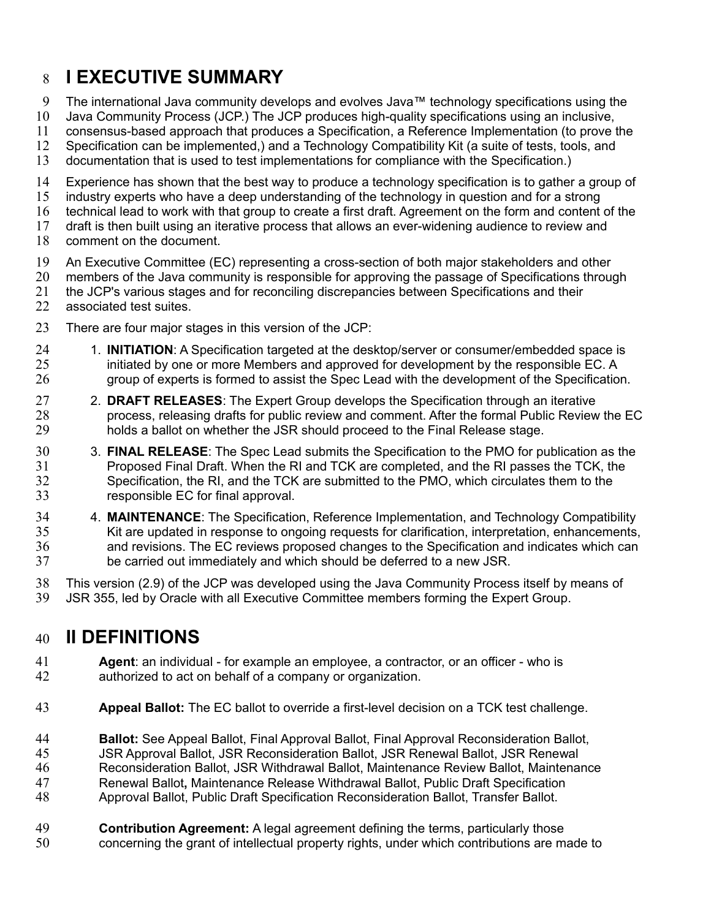# **I EXECUTIVE SUMMARY** 8

- The international Java community develops and evolves Java™ technology specifications using the 9
- Java Community Process (JCP.) The JCP produces high-quality specifications using an inclusive, 10
- consensus-based approach that produces a Specification, a Reference Implementation (to prove the 11
- Specification can be implemented,) and a Technology Compatibility Kit (a suite of tests, tools, and 12
- documentation that is used to test implementations for compliance with the Specification.) 13
- Experience has shown that the best way to produce a technology specification is to gather a group of 14
- industry experts who have a deep understanding of the technology in question and for a strong 15
- technical lead to work with that group to create a first draft. Agreement on the form and content of the 16
- draft is then built using an iterative process that allows an ever-widening audience to review and 17
- comment on the document. 18
- An Executive Committee (EC) representing a cross-section of both major stakeholders and other 19
- members of the Java community is responsible for approving the passage of Specifications through 20
- the JCP's various stages and for reconciling discrepancies between Specifications and their associated test suites. 21 22
- There are four major stages in this version of the JCP: 23
- 1. **INITIATION**: A Specification targeted at the desktop/server or consumer/embedded space is initiated by one or more Members and approved for development by the responsible EC. A group of experts is formed to assist the Spec Lead with the development of the Specification. 24 25 26
- 2. **DRAFT RELEASES**: The Expert Group develops the Specification through an iterative process, releasing drafts for public review and comment. After the formal Public Review the EC holds a ballot on whether the JSR should proceed to the Final Release stage. 27 28 29
- 3. **FINAL RELEASE**: The Spec Lead submits the Specification to the PMO for publication as the Proposed Final Draft. When the RI and TCK are completed, and the RI passes the TCK, the Specification, the RI, and the TCK are submitted to the PMO, which circulates them to the responsible EC for final approval. 30 31 32 33
- 4. **MAINTENANCE**: The Specification, Reference Implementation, and Technology Compatibility Kit are updated in response to ongoing requests for clarification, interpretation, enhancements, and revisions. The EC reviews proposed changes to the Specification and indicates which can be carried out immediately and which should be deferred to a new JSR. 34 35 36 37
- This version (2.9) of the JCP was developed using the Java Community Process itself by means of JSR 355, led by Oracle with all Executive Committee members forming the Expert Group. 38 39

# **II DEFINITIONS**  40

- **Agent**: an individual for example an employee, a contractor, or an officer who is authorized to act on behalf of a company or organization. 41 42
- **Appeal Ballot:** The EC ballot to override a first-level decision on a TCK test challenge. 43
- **Ballot:** See Appeal Ballot, Final Approval Ballot, Final Approval Reconsideration Ballot, 44
- JSR Approval Ballot, JSR Reconsideration Ballot, JSR Renewal Ballot, JSR Renewal 45
- Reconsideration Ballot, JSR Withdrawal Ballot, Maintenance Review Ballot, Maintenance 46
- Renewal Ballot**,** Maintenance Release Withdrawal Ballot, Public Draft Specification 47
- Approval Ballot, Public Draft Specification Reconsideration Ballot, Transfer Ballot. 48
- **Contribution Agreement:** A legal agreement defining the terms, particularly those concerning the grant of intellectual property rights, under which contributions are made to 49 50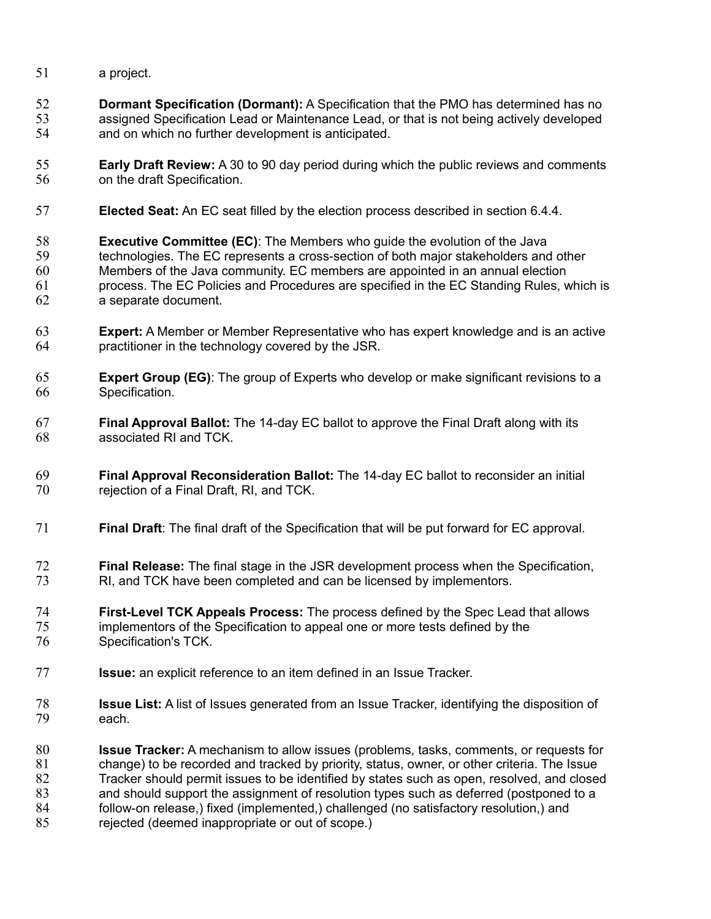- a project. 51
- **Dormant Specification (Dormant):** A Specification that the PMO has determined has no assigned Specification Lead or Maintenance Lead, or that is not being actively developed and on which no further development is anticipated. 52 53 54
- **Early Draft Review:** A 30 to 90 day period during which the public reviews and comments on the draft Specification. 55 56
- **Elected Seat:** An EC seat filled by the election process described in section 6.4.4. 57
- **Executive Committee (EC)**: The Members who guide the evolution of the Java technologies. The EC represents a cross-section of both major stakeholders and other Members of the Java community. EC members are appointed in an annual election process. The EC Policies and Procedures are specified in the EC Standing Rules, which is a separate document. 58 59 60 61 62
- **Expert:** A Member or Member Representative who has expert knowledge and is an active practitioner in the technology covered by the JSR. 63 64
- **Expert Group (EG)**: The group of Experts who develop or make significant revisions to a Specification. 65 66
- **Final Approval Ballot:** The 14-day EC ballot to approve the Final Draft along with its associated RI and TCK. 67 68
- **Final Approval Reconsideration Ballot:** The 14-day EC ballot to reconsider an initial rejection of a Final Draft, RI, and TCK. 69 70
- **Final Draft**: The final draft of the Specification that will be put forward for EC approval. 71
- **Final Release:** The final stage in the JSR development process when the Specification, RI, and TCK have been completed and can be licensed by implementors. 72 73
- **First-Level TCK Appeals Process:** The process defined by the Spec Lead that allows implementors of the Specification to appeal one or more tests defined by the Specification's TCK. 74 75 76
- **Issue:** an explicit reference to an item defined in an Issue Tracker. 77
- **Issue List:** A list of Issues generated from an Issue Tracker, identifying the disposition of each. 78 79
- **Issue Tracker:** A mechanism to allow issues (problems, tasks, comments, or requests for change) to be recorded and tracked by priority, status, owner, or other criteria. The Issue Tracker should permit issues to be identified by states such as open, resolved, and closed and should support the assignment of resolution types such as deferred (postponed to a follow-on release,) fixed (implemented,) challenged (no satisfactory resolution,) and rejected (deemed inappropriate or out of scope.) 80 81 82 83 84 85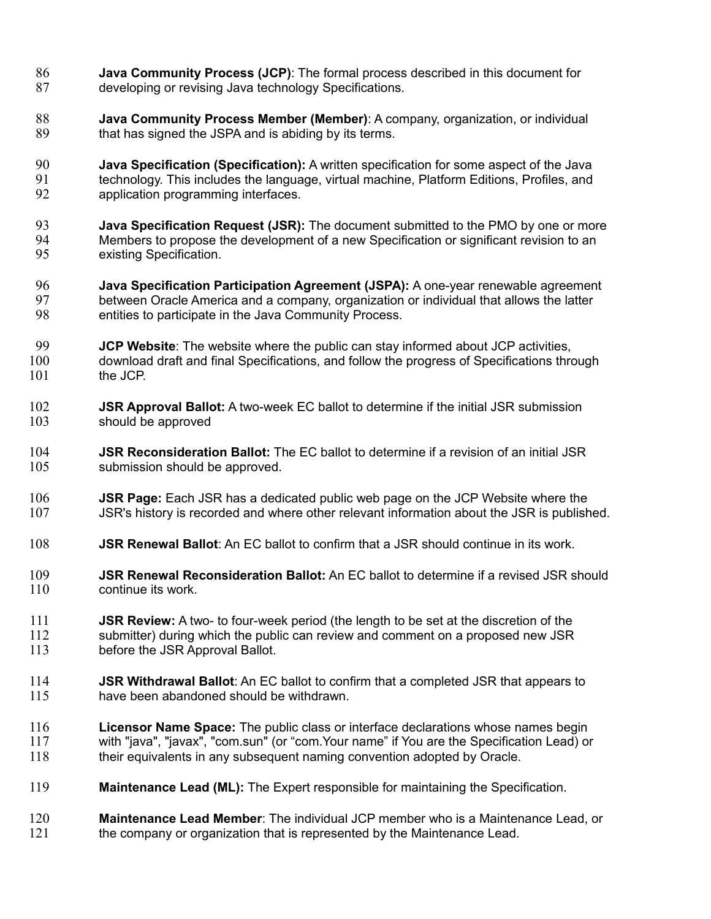- **Java Community Process (JCP)**: The formal process described in this document for developing or revising Java technology Specifications. 86 87
- **Java Community Process Member (Member)**: A company, organization, or individual that has signed the JSPA and is abiding by its terms. 88 89
- **Java Specification (Specification):** A written specification for some aspect of the Java technology. This includes the language, virtual machine, Platform Editions, Profiles, and application programming interfaces. 90 91 92
- **Java Specification Request (JSR):** The document submitted to the PMO by one or more Members to propose the development of a new Specification or significant revision to an existing Specification. 93 94 95
- **Java Specification Participation Agreement (JSPA):** A one-year renewable agreement between Oracle America and a company, organization or individual that allows the latter entities to participate in the Java Community Process. 96 97 98
- **JCP Website**: The website where the public can stay informed about JCP activities, download draft and final Specifications, and follow the progress of Specifications through the JCP. 99 100 101
- **JSR Approval Ballot:** A two-week EC ballot to determine if the initial JSR submission should be approved 102 103
- **JSR Reconsideration Ballot:** The EC ballot to determine if a revision of an initial JSR submission should be approved. 104 105
- **JSR Page:** Each JSR has a dedicated public web page on the JCP Website where the JSR's history is recorded and where other relevant information about the JSR is published. 106 107
- **JSR Renewal Ballot**: An EC ballot to confirm that a JSR should continue in its work. 108
- **JSR Renewal Reconsideration Ballot:** An EC ballot to determine if a revised JSR should continue its work. 109 110
- **JSR Review:** A two- to four-week period (the length to be set at the discretion of the submitter) during which the public can review and comment on a proposed new JSR before the JSR Approval Ballot. 111 112 113
- **JSR Withdrawal Ballot**: An EC ballot to confirm that a completed JSR that appears to have been abandoned should be withdrawn. 114 115
- **Licensor Name Space:** The public class or interface declarations whose names begin with "java", "javax", "com.sun" (or "com.Your name" if You are the Specification Lead) or their equivalents in any subsequent naming convention adopted by Oracle. 116 117 118
- **Maintenance Lead (ML):** The Expert responsible for maintaining the Specification. 119
- **Maintenance Lead Member**: The individual JCP member who is a Maintenance Lead, or the company or organization that is represented by the Maintenance Lead. 120 121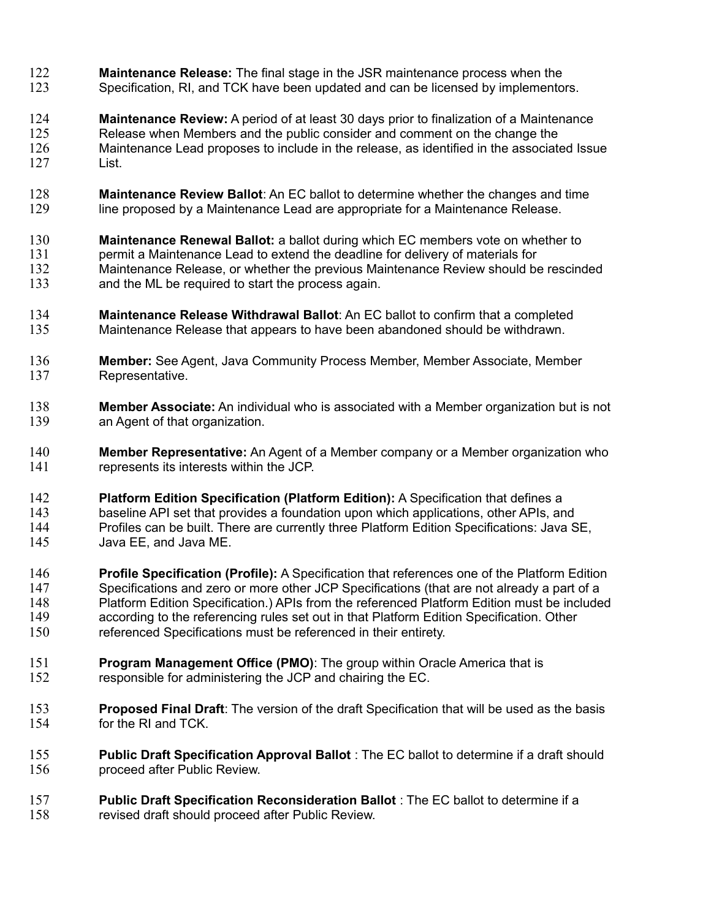- **Maintenance Release:** The final stage in the JSR maintenance process when the Specification, RI, and TCK have been updated and can be licensed by implementors. 122 123
- **Maintenance Review:** A period of at least 30 days prior to finalization of a Maintenance Release when Members and the public consider and comment on the change the Maintenance Lead proposes to include in the release, as identified in the associated Issue List. 124 125 126 127
- **Maintenance Review Ballot**: An EC ballot to determine whether the changes and time line proposed by a Maintenance Lead are appropriate for a Maintenance Release. 128 129
- **Maintenance Renewal Ballot:** a ballot during which EC members vote on whether to permit a Maintenance Lead to extend the deadline for delivery of materials for Maintenance Release, or whether the previous Maintenance Review should be rescinded and the ML be required to start the process again. 130 131 132 133
- **Maintenance Release Withdrawal Ballot**: An EC ballot to confirm that a completed Maintenance Release that appears to have been abandoned should be withdrawn. 134 135
- **Member:** See Agent, Java Community Process Member, Member Associate, Member Representative. 136 137
- **Member Associate:** An individual who is associated with a Member organization but is not an Agent of that organization. 138 139
- **Member Representative:** An Agent of a Member company or a Member organization who represents its interests within the JCP. 140 141
- **Platform Edition Specification (Platform Edition):** A Specification that defines a baseline API set that provides a foundation upon which applications, other APIs, and Profiles can be built. There are currently three Platform Edition Specifications: Java SE, Java EE, and Java ME. 142 143 144 145
- **Profile Specification (Profile):** A Specification that references one of the Platform Edition Specifications and zero or more other JCP Specifications (that are not already a part of a Platform Edition Specification.) APIs from the referenced Platform Edition must be included according to the referencing rules set out in that Platform Edition Specification. Other referenced Specifications must be referenced in their entirety. 146 147 148 149 150
- **Program Management Office (PMO)**: The group within Oracle America that is responsible for administering the JCP and chairing the EC. 151 152
- **Proposed Final Draft**: The version of the draft Specification that will be used as the basis for the RI and TCK. 153 154
- **Public Draft Specification Approval Ballot** : The EC ballot to determine if a draft should proceed after Public Review. 155 156
- **Public Draft Specification Reconsideration Ballot** : The EC ballot to determine if a revised draft should proceed after Public Review. 157 158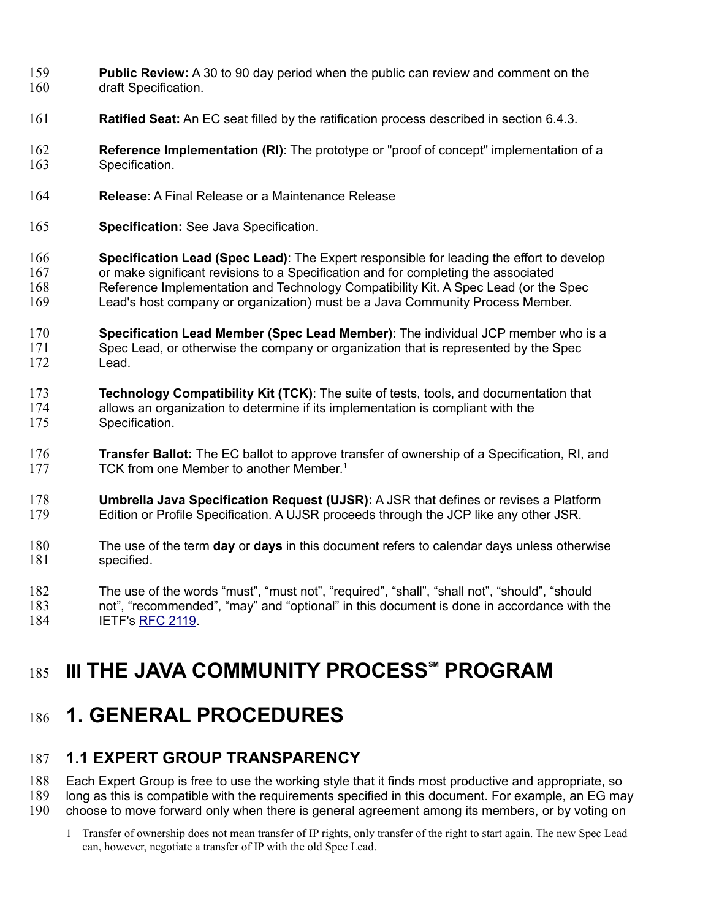- **Public Review:** A 30 to 90 day period when the public can review and comment on the draft Specification. 159 160
- **Ratified Seat:** An EC seat filled by the ratification process described in section 6.4.3. 161
- **Reference Implementation (RI)**: The prototype or "proof of concept" implementation of a Specification. 162 163
- **Release**: A Final Release or a Maintenance Release 164
- **Specification:** See Java Specification. 165
- **Specification Lead (Spec Lead)**: The Expert responsible for leading the effort to develop or make significant revisions to a Specification and for completing the associated Reference Implementation and Technology Compatibility Kit. A Spec Lead (or the Spec Lead's host company or organization) must be a Java Community Process Member. 166 167 168 169
- **Specification Lead Member (Spec Lead Member)**: The individual JCP member who is a Spec Lead, or otherwise the company or organization that is represented by the Spec Lead. 170 171 172
- **Technology Compatibility Kit (TCK)**: The suite of tests, tools, and documentation that allows an organization to determine if its implementation is compliant with the Specification. 173 174 175
- **Transfer Ballot:** The EC ballot to approve transfer of ownership of a Specification, RI, and TCK from one Member to another Member.<sup>[1](#page-5-0)</sup> 176 177
- **Umbrella Java Specification Request (UJSR):** A JSR that defines or revises a Platform Edition or Profile Specification. A UJSR proceeds through the JCP like any other JSR. 178 179
- The use of the term **day** or **days** in this document refers to calendar days unless otherwise specified. 180 181
- The use of the words "must", "must not", "required", "shall", "shall not", "should", "should not", "recommended", "may" and "optional" in this document is done in accordance with the IETF's [RFC 2119.](http://www.ietf.org/rfc/rfc2119.txt) 182 183 184

# **III THE JAVA COMMUNITY PROCESS<sup>®M</sup> PROGRAM** 185

# **1. GENERAL PROCEDURES** 186

# **1.1 EXPERT GROUP TRANSPARENCY** 187

Each Expert Group is free to use the working style that it finds most productive and appropriate, so long as this is compatible with the requirements specified in this document. For example, an EG may 188 189

choose to move forward only when there is general agreement among its members, or by voting on 190

<span id="page-5-0"></span><sup>1</sup> Transfer of ownership does not mean transfer of IP rights, only transfer of the right to start again. The new Spec Lead can, however, negotiate a transfer of IP with the old Spec Lead.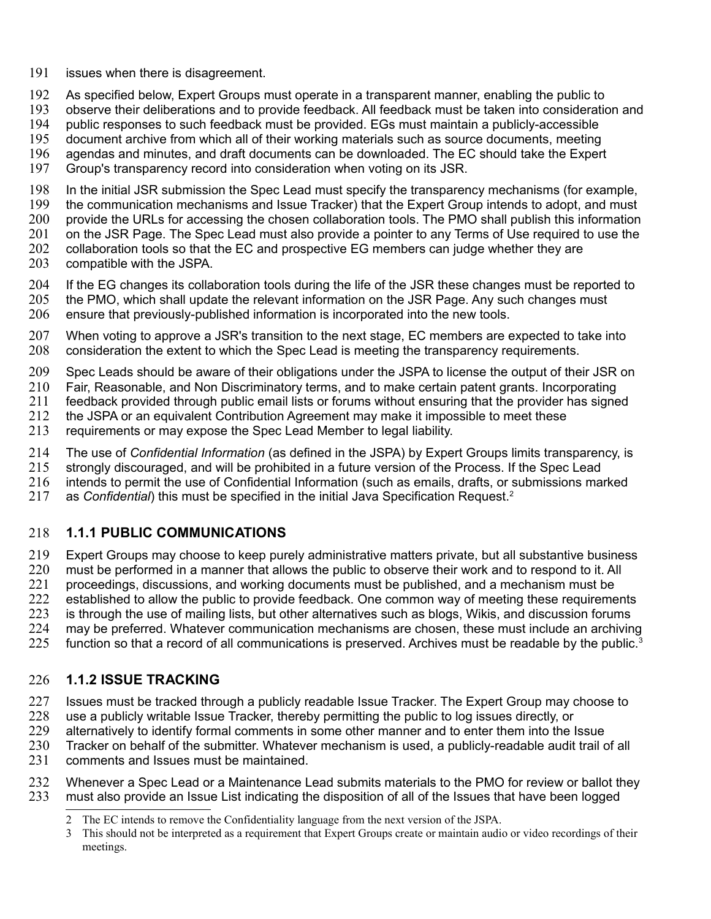- issues when there is disagreement. 191
- As specified below, Expert Groups must operate in a transparent manner, enabling the public to 192
- observe their deliberations and to provide feedback. All feedback must be taken into consideration and 193
- public responses to such feedback must be provided. EGs must maintain a publicly-accessible 194
- document archive from which all of their working materials such as source documents, meeting 195
- agendas and minutes, and draft documents can be downloaded. The EC should take the Expert 196
- Group's transparency record into consideration when voting on its JSR. 197
- In the initial JSR submission the Spec Lead must specify the transparency mechanisms (for example, 198
- the communication mechanisms and Issue Tracker) that the Expert Group intends to adopt, and must 199
- provide the URLs for accessing the chosen collaboration tools. The PMO shall publish this information 200
- on the JSR Page. The Spec Lead must also provide a pointer to any Terms of Use required to use the 201
- collaboration tools so that the EC and prospective EG members can judge whether they are compatible with the JSPA. 202 203
- If the EG changes its collaboration tools during the life of the JSR these changes must be reported to 204
- the PMO, which shall update the relevant information on the JSR Page. Any such changes must 205
- ensure that previously-published information is incorporated into the new tools. 206
- When voting to approve a JSR's transition to the next stage, EC members are expected to take into consideration the extent to which the Spec Lead is meeting the transparency requirements. 207 208
- Spec Leads should be aware of their obligations under the JSPA to license the output of their JSR on 209
- Fair, Reasonable, and Non Discriminatory terms, and to make certain patent grants. Incorporating 210
- feedback provided through public email lists or forums without ensuring that the provider has signed 211
- the JSPA or an equivalent Contribution Agreement may make it impossible to meet these 212
- requirements or may expose the Spec Lead Member to legal liability. 213
- The use of *Confidential Information* (as defined in the JSPA) by Expert Groups limits transparency, is 214
- strongly discouraged, and will be prohibited in a future version of the Process. If the Spec Lead 215
- intends to permit the use of Confidential Information (such as emails, drafts, or submissions marked 216
- as *Confidential*) this must be specified in the initial Java Specification Request.[2](#page-6-0) 217

### **1.1.1 PUBLIC COMMUNICATIONS** 218

Expert Groups may choose to keep purely administrative matters private, but all substantive business must be performed in a manner that allows the public to observe their work and to respond to it. All proceedings, discussions, and working documents must be published, and a mechanism must be established to allow the public to provide feedback. One common way of meeting these requirements is through the use of mailing lists, but other alternatives such as blogs, Wikis, and discussion forums may be preferred. Whatever communication mechanisms are chosen, these must include an archiving function so that a record of all communications is preserved. Archives must be readable by the public.<sup>[3](#page-6-1)</sup> 219 220 221 222 223 224 225

## **1.1.2 ISSUE TRACKING** 226

- Issues must be tracked through a publicly readable Issue Tracker. The Expert Group may choose to 227
- use a publicly writable Issue Tracker, thereby permitting the public to log issues directly, or 228
- alternatively to identify formal comments in some other manner and to enter them into the Issue 229
- Tracker on behalf of the submitter. Whatever mechanism is used, a publicly-readable audit trail of all comments and Issues must be maintained. 230 231
- Whenever a Spec Lead or a Maintenance Lead submits materials to the PMO for review or ballot they must also provide an Issue List indicating the disposition of all of the Issues that have been logged 232 233

<span id="page-6-0"></span><sup>2</sup> The EC intends to remove the Confidentiality language from the next version of the JSPA.

<span id="page-6-1"></span><sup>3</sup> This should not be interpreted as a requirement that Expert Groups create or maintain audio or video recordings of their meetings.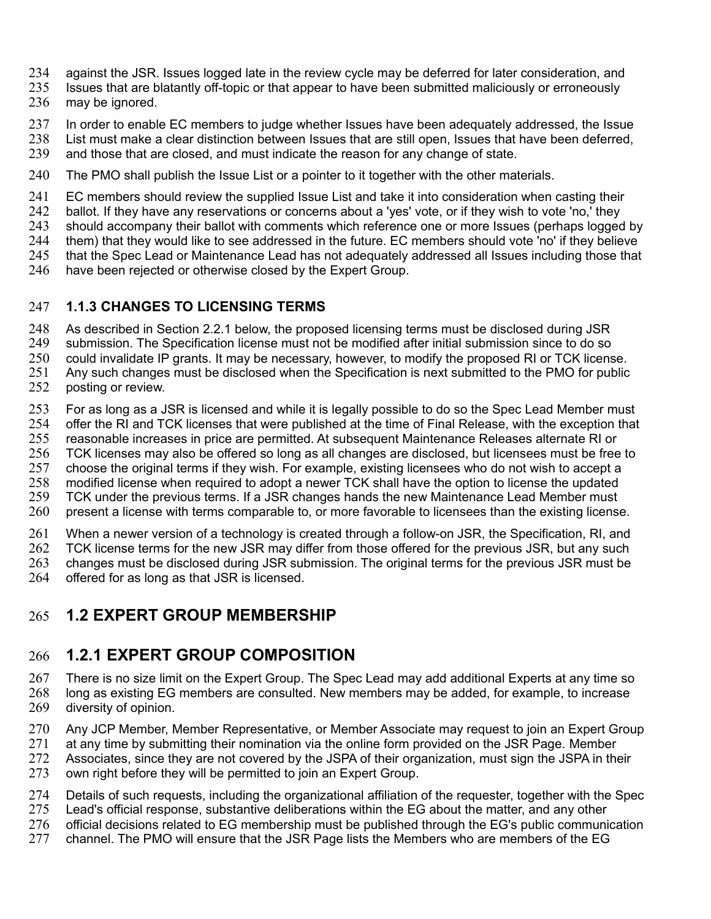- against the JSR. Issues logged late in the review cycle may be deferred for later consideration, and 234
- Issues that are blatantly off-topic or that appear to have been submitted maliciously or erroneously 235
- may be ignored. 236
- In order to enable EC members to judge whether Issues have been adequately addressed, the Issue 237
- List must make a clear distinction between Issues that are still open, Issues that have been deferred, and those that are closed, and must indicate the reason for any change of state. 238 239
- The PMO shall publish the Issue List or a pointer to it together with the other materials. 240
- EC members should review the supplied Issue List and take it into consideration when casting their 241
- ballot. If they have any reservations or concerns about a 'yes' vote, or if they wish to vote 'no,' they 242
- should accompany their ballot with comments which reference one or more Issues (perhaps logged by 243
- them) that they would like to see addressed in the future. EC members should vote 'no' if they believe 244
- that the Spec Lead or Maintenance Lead has not adequately addressed all Issues including those that 245
- have been rejected or otherwise closed by the Expert Group. 246

#### **1.1.3 CHANGES TO LICENSING TERMS** 247

As described in Section 2.2.1 below, the proposed licensing terms must be disclosed during JSR 248

- submission. The Specification license must not be modified after initial submission since to do so 249
- could invalidate IP grants. It may be necessary, however, to modify the proposed RI or TCK license. 250
- Any such changes must be disclosed when the Specification is next submitted to the PMO for public posting or review. 251 252
- For as long as a JSR is licensed and while it is legally possible to do so the Spec Lead Member must offer the RI and TCK licenses that were published at the time of Final Release, with the exception that reasonable increases in price are permitted. At subsequent Maintenance Releases alternate RI or TCK licenses may also be offered so long as all changes are disclosed, but licensees must be free to choose the original terms if they wish. For example, existing licensees who do not wish to accept a 253 254 255 256 257
- modified license when required to adopt a newer TCK shall have the option to license the updated TCK under the previous terms. If a JSR changes hands the new Maintenance Lead Member must 258 259
- present a license with terms comparable to, or more favorable to licensees than the existing license. 260
- When a newer version of a technology is created through a follow-on JSR, the Specification, RI, and 261
- TCK license terms for the new JSR may differ from those offered for the previous JSR, but any such changes must be disclosed during JSR submission. The original terms for the previous JSR must be 262 263
- offered for as long as that JSR is licensed. 264

### **1.2 EXPERT GROUP MEMBERSHIP** 265

### **1.2.1 EXPERT GROUP COMPOSITION** 266

- There is no size limit on the Expert Group. The Spec Lead may add additional Experts at any time so long as existing EG members are consulted. New members may be added, for example, to increase diversity of opinion. 267 268 269
- Any JCP Member, Member Representative, or Member Associate may request to join an Expert Group 270
- at any time by submitting their nomination via the online form provided on the JSR Page. Member 271
- Associates, since they are not covered by the JSPA of their organization, must sign the JSPA in their 272
- own right before they will be permitted to join an Expert Group. 273
- Details of such requests, including the organizational affiliation of the requester, together with the Spec 274
- Lead's official response, substantive deliberations within the EG about the matter, and any other 275
- official decisions related to EG membership must be published through the EG's public communication 276
- channel. The PMO will ensure that the JSR Page lists the Members who are members of the EG 277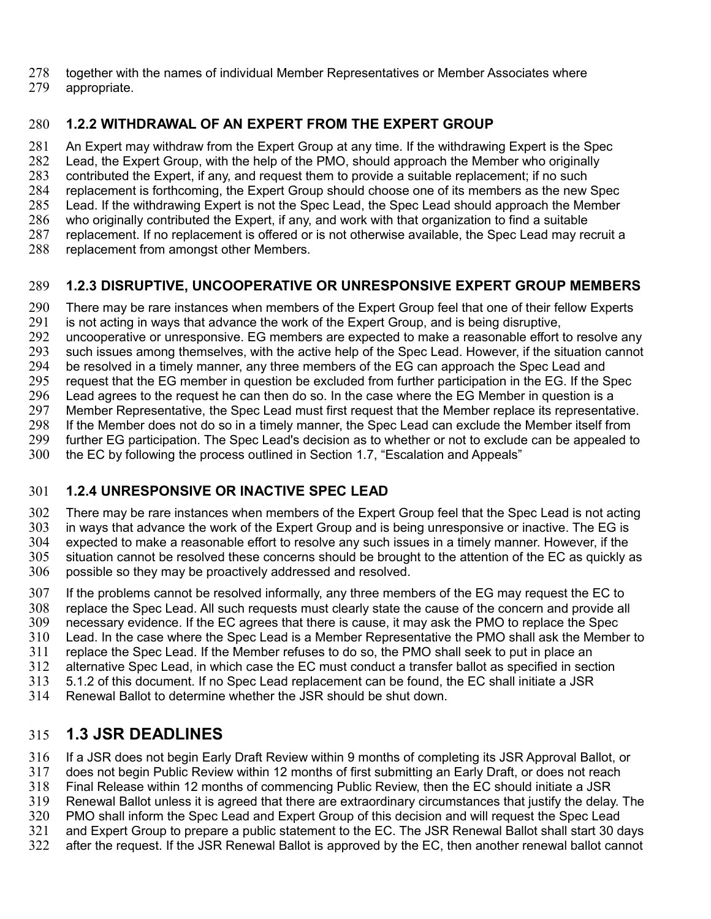- together with the names of individual Member Representatives or Member Associates where 278
- appropriate. 279

#### **1.2.2 WITHDRAWAL OF AN EXPERT FROM THE EXPERT GROUP**  280

An Expert may withdraw from the Expert Group at any time. If the withdrawing Expert is the Spec Lead, the Expert Group, with the help of the PMO, should approach the Member who originally contributed the Expert, if any, and request them to provide a suitable replacement; if no such replacement is forthcoming, the Expert Group should choose one of its members as the new Spec Lead. If the withdrawing Expert is not the Spec Lead, the Spec Lead should approach the Member who originally contributed the Expert, if any, and work with that organization to find a suitable replacement. If no replacement is offered or is not otherwise available, the Spec Lead may recruit a replacement from amongst other Members. 281 282 283 284 285 286 287 288

#### **1.2.3 DISRUPTIVE, UNCOOPERATIVE OR UNRESPONSIVE EXPERT GROUP MEMBERS** 289

There may be rare instances when members of the Expert Group feel that one of their fellow Experts 290

- is not acting in ways that advance the work of the Expert Group, and is being disruptive, 291
- uncooperative or unresponsive. EG members are expected to make a reasonable effort to resolve any 292
- such issues among themselves, with the active help of the Spec Lead. However, if the situation cannot 293
- be resolved in a timely manner, any three members of the EG can approach the Spec Lead and 294
- request that the EG member in question be excluded from further participation in the EG. If the Spec 295
- Lead agrees to the request he can then do so. In the case where the EG Member in question is a Member Representative, the Spec Lead must first request that the Member replace its representative. 296 297
- If the Member does not do so in a timely manner, the Spec Lead can exclude the Member itself from 298
- further EG participation. The Spec Lead's decision as to whether or not to exclude can be appealed to 299
- the EC by following the process outlined in Section 1.7, "Escalation and Appeals" 300

#### **1.2.4 UNRESPONSIVE OR INACTIVE SPEC LEAD**  301

There may be rare instances when members of the Expert Group feel that the Spec Lead is not acting 302

- in ways that advance the work of the Expert Group and is being unresponsive or inactive. The EG is 303 304
- expected to make a reasonable effort to resolve any such issues in a timely manner. However, if the situation cannot be resolved these concerns should be brought to the attention of the EC as quickly as possible so they may be proactively addressed and resolved. 305 306
- If the problems cannot be resolved informally, any three members of the EG may request the EC to replace the Spec Lead. All such requests must clearly state the cause of the concern and provide all 307 308
- necessary evidence. If the EC agrees that there is cause, it may ask the PMO to replace the Spec 309
- Lead. In the case where the Spec Lead is a Member Representative the PMO shall ask the Member to 310
- replace the Spec Lead. If the Member refuses to do so, the PMO shall seek to put in place an 311
- alternative Spec Lead, in which case the EC must conduct a transfer ballot as specified in section 312
- 5.1.2 of this document. If no Spec Lead replacement can be found, the EC shall initiate a JSR 313
- Renewal Ballot to determine whether the JSR should be shut down. 314

# **1.3 JSR DEADLINES** 315

- If a JSR does not begin Early Draft Review within 9 months of completing its JSR Approval Ballot, or 316
- does not begin Public Review within 12 months of first submitting an Early Draft, or does not reach 317
- Final Release within 12 months of commencing Public Review, then the EC should initiate a JSR 318
- Renewal Ballot unless it is agreed that there are extraordinary circumstances that justify the delay. The 319
- PMO shall inform the Spec Lead and Expert Group of this decision and will request the Spec Lead 320
- and Expert Group to prepare a public statement to the EC. The JSR Renewal Ballot shall start 30 days 321
- after the request. If the JSR Renewal Ballot is approved by the EC, then another renewal ballot cannot 322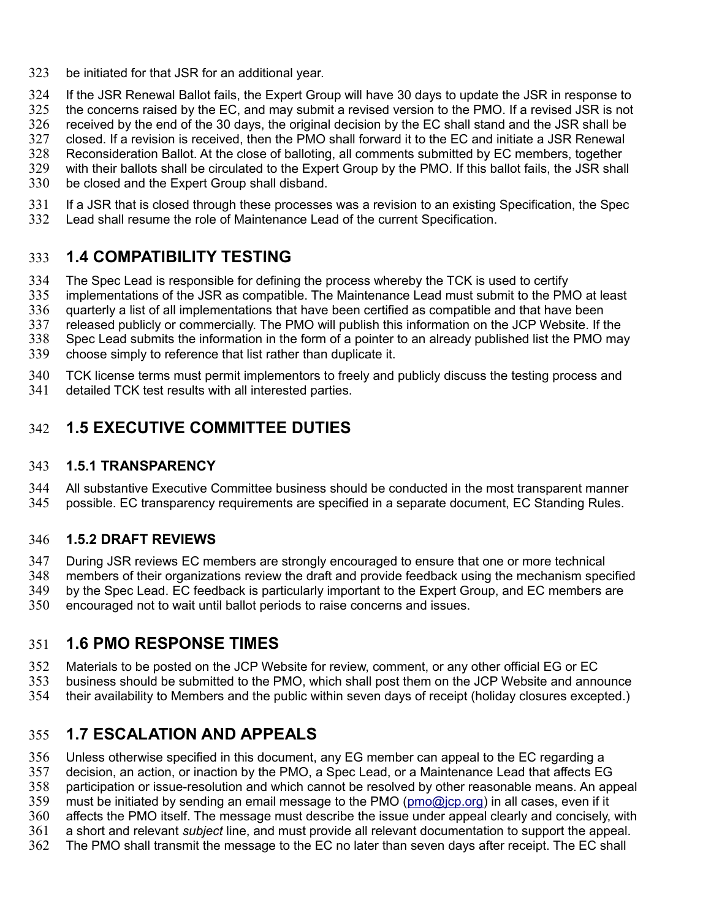- be initiated for that JSR for an additional year. 323
- If the JSR Renewal Ballot fails, the Expert Group will have 30 days to update the JSR in response to the concerns raised by the EC, and may submit a revised version to the PMO. If a revised JSR is not received by the end of the 30 days, the original decision by the EC shall stand and the JSR shall be closed. If a revision is received, then the PMO shall forward it to the EC and initiate a JSR Renewal Reconsideration Ballot. At the close of balloting, all comments submitted by EC members, together with their ballots shall be circulated to the Expert Group by the PMO. If this ballot fails, the JSR shall 324 325 326 327 328 329
- be closed and the Expert Group shall disband. 330
- If a JSR that is closed through these processes was a revision to an existing Specification, the Spec Lead shall resume the role of Maintenance Lead of the current Specification. 331 332

## **1.4 COMPATIBILITY TESTING** 333

- The Spec Lead is responsible for defining the process whereby the TCK is used to certify 334
- implementations of the JSR as compatible. The Maintenance Lead must submit to the PMO at least 335
- quarterly a list of all implementations that have been certified as compatible and that have been 336
- released publicly or commercially. The PMO will publish this information on the JCP Website. If the 337
- Spec Lead submits the information in the form of a pointer to an already published list the PMO may 338
- choose simply to reference that list rather than duplicate it. 339
- TCK license terms must permit implementors to freely and publicly discuss the testing process and 340
- detailed TCK test results with all interested parties. 341

## **1.5 EXECUTIVE COMMITTEE DUTIES** 342

#### **1.5.1 TRANSPARENCY** 343

- All substantive Executive Committee business should be conducted in the most transparent manner 344
- possible. EC transparency requirements are specified in a separate document, EC Standing Rules. 345

### **1.5.2 DRAFT REVIEWS** 346

- During JSR reviews EC members are strongly encouraged to ensure that one or more technical 347
- members of their organizations review the draft and provide feedback using the mechanism specified 348
- by the Spec Lead. EC feedback is particularly important to the Expert Group, and EC members are 349
- encouraged not to wait until ballot periods to raise concerns and issues. 350

# **1.6 PMO RESPONSE TIMES** 351

- Materials to be posted on the JCP Website for review, comment, or any other official EG or EC 352
- business should be submitted to the PMO, which shall post them on the JCP Website and announce 353
- their availability to Members and the public within seven days of receipt (holiday closures excepted.) 354

# **1.7 ESCALATION AND APPEALS** 355

- Unless otherwise specified in this document, any EG member can appeal to the EC regarding a 356
- decision, an action, or inaction by the PMO, a Spec Lead, or a Maintenance Lead that affects EG 357
- participation or issue-resolution and which cannot be resolved by other reasonable means. An appeal 358
- must be initiated by sending an email message to the PMO [\(pmo@jcp.org\)](mailto:pmo@jcp.org) in all cases, even if it 359
- affects the PMO itself. The message must describe the issue under appeal clearly and concisely, with 360
- a short and relevant *subject* line, and must provide all relevant documentation to support the appeal. 361
- The PMO shall transmit the message to the EC no later than seven days after receipt. The EC shall 362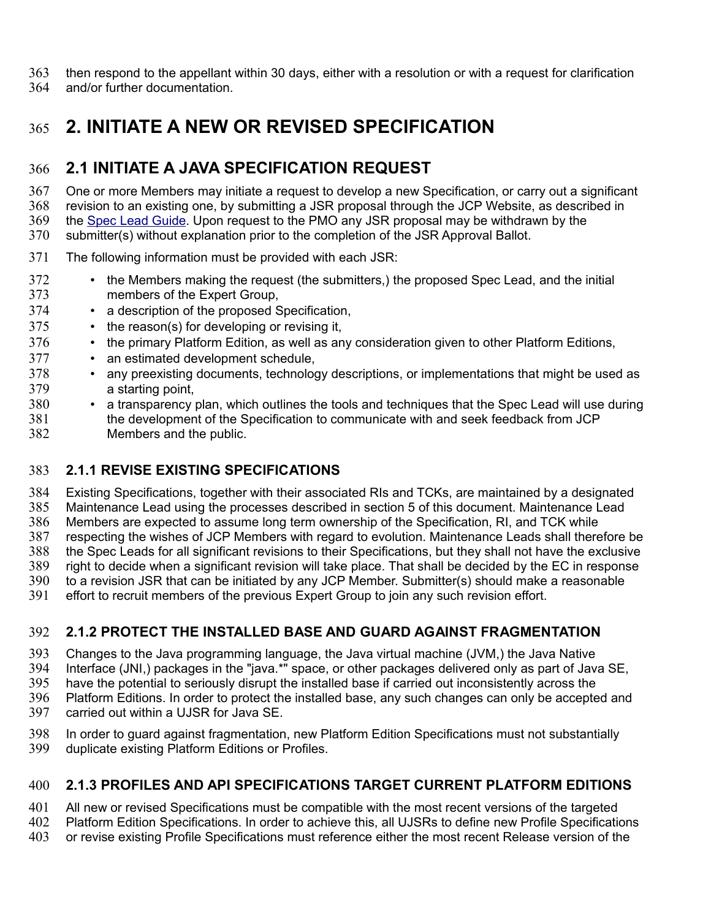then respond to the appellant within 30 days, either with a resolution or with a request for clarification 363

and/or further documentation. 364

# **2. INITIATE A NEW OR REVISED SPECIFICATION**  365

# **2.1 INITIATE A JAVA SPECIFICATION REQUEST** 366

One or more Members may initiate a request to develop a new Specification, or carry out a significant revision to an existing one, by submitting a JSR proposal through the JCP Website, as described in the [Spec Lead Guide.](http://jcp.org/en/resources/guide) Upon request to the PMO any JSR proposal may be withdrawn by the 367 368 369

submitter(s) without explanation prior to the completion of the JSR Approval Ballot. 370

- The following information must be provided with each JSR: 371
- the Members making the request (the submitters,) the proposed Spec Lead, and the initial members of the Expert Group, 372 373
- a description of the proposed Specification, 374
- the reason(s) for developing or revising it, 375
- the primary Platform Edition, as well as any consideration given to other Platform Editions, 376
- an estimated development schedule, 377
- any preexisting documents, technology descriptions, or implementations that might be used as a starting point, 378 379
- a transparency plan, which outlines the tools and techniques that the Spec Lead will use during the development of the Specification to communicate with and seek feedback from JCP Members and the public. 380 381 382

### **2.1.1 REVISE EXISTING SPECIFICATIONS**  383

Existing Specifications, together with their associated RIs and TCKs, are maintained by a designated Maintenance Lead using the processes described in section 5 of this document. Maintenance Lead Members are expected to assume long term ownership of the Specification, RI, and TCK while respecting the wishes of JCP Members with regard to evolution. Maintenance Leads shall therefore be the Spec Leads for all significant revisions to their Specifications, but they shall not have the exclusive right to decide when a significant revision will take place. That shall be decided by the EC in response to a revision JSR that can be initiated by any JCP Member. Submitter(s) should make a reasonable effort to recruit members of the previous Expert Group to join any such revision effort. 384 385 386 387 388 389 390 391

### **2.1.2 PROTECT THE INSTALLED BASE AND GUARD AGAINST FRAGMENTATION**  392

Changes to the Java programming language, the Java virtual machine (JVM,) the Java Native Interface (JNI,) packages in the "java.\*" space, or other packages delivered only as part of Java SE, have the potential to seriously disrupt the installed base if carried out inconsistently across the Platform Editions. In order to protect the installed base, any such changes can only be accepted and carried out within a UJSR for Java SE. 393 394 395 396 397

In order to guard against fragmentation, new Platform Edition Specifications must not substantially duplicate existing Platform Editions or Profiles. 398 399

### **2.1.3 PROFILES AND API SPECIFICATIONS TARGET CURRENT PLATFORM EDITIONS**  400

All new or revised Specifications must be compatible with the most recent versions of the targeted Platform Edition Specifications. In order to achieve this, all UJSRs to define new Profile Specifications or revise existing Profile Specifications must reference either the most recent Release version of the 401 402 403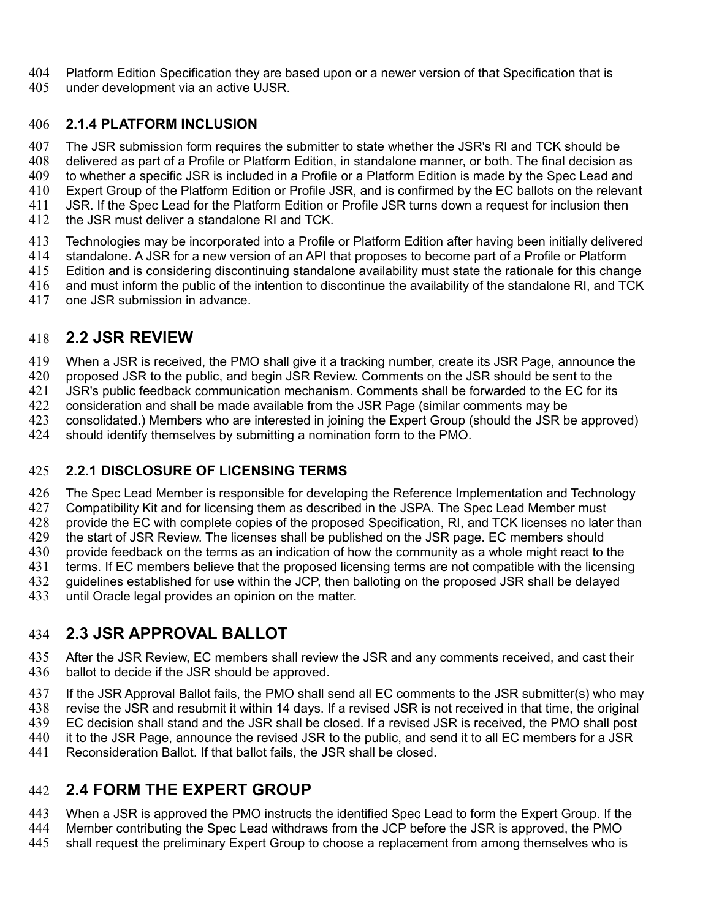Platform Edition Specification they are based upon or a newer version of that Specification that is under development via an active UJSR. 404 405

#### **2.1.4 PLATFORM INCLUSION**  406

The JSR submission form requires the submitter to state whether the JSR's RI and TCK should be delivered as part of a Profile or Platform Edition, in standalone manner, or both. The final decision as 407 408

- to whether a specific JSR is included in a Profile or a Platform Edition is made by the Spec Lead and 409
- Expert Group of the Platform Edition or Profile JSR, and is confirmed by the EC ballots on the relevant 410
- JSR. If the Spec Lead for the Platform Edition or Profile JSR turns down a request for inclusion then 411
- the JSR must deliver a standalone RI and TCK. 412
- Technologies may be incorporated into a Profile or Platform Edition after having been initially delivered standalone. A JSR for a new version of an API that proposes to become part of a Profile or Platform 413 414
- Edition and is considering discontinuing standalone availability must state the rationale for this change 415
- and must inform the public of the intention to discontinue the availability of the standalone RI, and TCK 416
- one JSR submission in advance. 417

#### **2.2 JSR REVIEW**  418

When a JSR is received, the PMO shall give it a tracking number, create its JSR Page, announce the 419

proposed JSR to the public, and begin JSR Review. Comments on the JSR should be sent to the 420

JSR's public feedback communication mechanism. Comments shall be forwarded to the EC for its 421

consideration and shall be made available from the JSR Page (similar comments may be 422

consolidated.) Members who are interested in joining the Expert Group (should the JSR be approved) 423

should identify themselves by submitting a nomination form to the PMO. 424

#### **2.2.1 DISCLOSURE OF LICENSING TERMS** 425

The Spec Lead Member is responsible for developing the Reference Implementation and Technology 426

Compatibility Kit and for licensing them as described in the JSPA. The Spec Lead Member must 427

provide the EC with complete copies of the proposed Specification, RI, and TCK licenses no later than 428

the start of JSR Review. The licenses shall be published on the JSR page. EC members should 429

provide feedback on the terms as an indication of how the community as a whole might react to the 430

terms. If EC members believe that the proposed licensing terms are not compatible with the licensing 431

guidelines established for use within the JCP, then balloting on the proposed JSR shall be delayed 432

until Oracle legal provides an opinion on the matter. 433

## **2.3 JSR APPROVAL BALLOT**  434

After the JSR Review, EC members shall review the JSR and any comments received, and cast their ballot to decide if the JSR should be approved. 435 436

If the JSR Approval Ballot fails, the PMO shall send all EC comments to the JSR submitter(s) who may revise the JSR and resubmit it within 14 days. If a revised JSR is not received in that time, the original EC decision shall stand and the JSR shall be closed. If a revised JSR is received, the PMO shall post it to the JSR Page, announce the revised JSR to the public, and send it to all EC members for a JSR 437 438 439 440

Reconsideration Ballot. If that ballot fails, the JSR shall be closed. 441

## **2.4 FORM THE EXPERT GROUP**  442

When a JSR is approved the PMO instructs the identified Spec Lead to form the Expert Group. If the 443

Member contributing the Spec Lead withdraws from the JCP before the JSR is approved, the PMO 444

shall request the preliminary Expert Group to choose a replacement from among themselves who is 445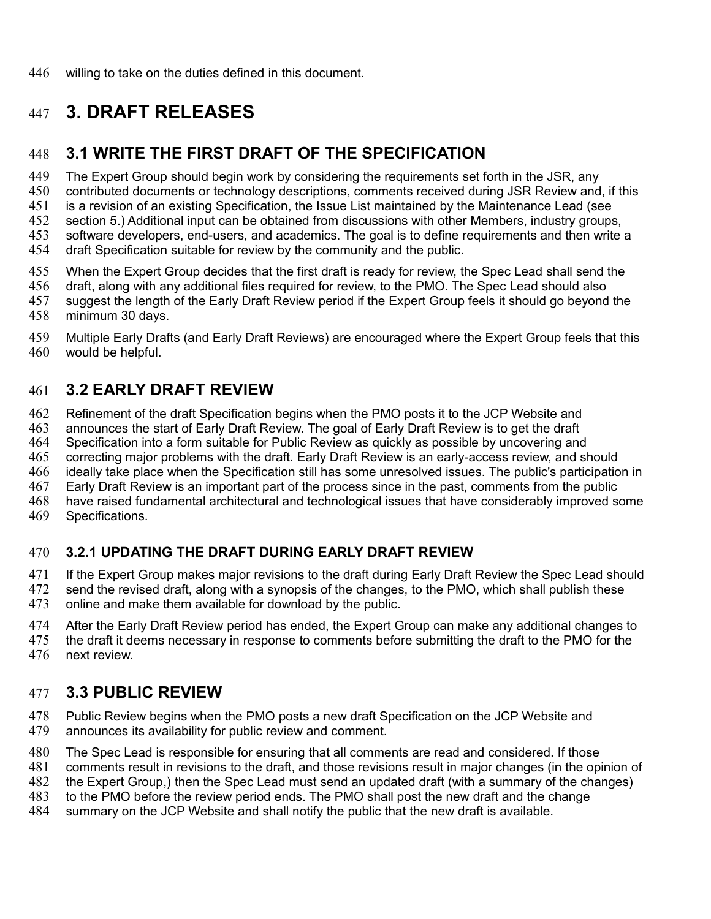# **3. DRAFT RELEASES** 447

## **3.1 WRITE THE FIRST DRAFT OF THE SPECIFICATION**  448

The Expert Group should begin work by considering the requirements set forth in the JSR, any contributed documents or technology descriptions, comments received during JSR Review and, if this is a revision of an existing Specification, the Issue List maintained by the Maintenance Lead (see section 5.) Additional input can be obtained from discussions with other Members, industry groups, software developers, end-users, and academics. The goal is to define requirements and then write a draft Specification suitable for review by the community and the public. 449 450 451 452 453 454

When the Expert Group decides that the first draft is ready for review, the Spec Lead shall send the draft, along with any additional files required for review, to the PMO. The Spec Lead should also suggest the length of the Early Draft Review period if the Expert Group feels it should go beyond the minimum 30 days. 455 456 457 458

Multiple Early Drafts (and Early Draft Reviews) are encouraged where the Expert Group feels that this would be helpful. 459 460

## **3.2 EARLY DRAFT REVIEW**  461

Refinement of the draft Specification begins when the PMO posts it to the JCP Website and announces the start of Early Draft Review. The goal of Early Draft Review is to get the draft 462 463

Specification into a form suitable for Public Review as quickly as possible by uncovering and 464

correcting major problems with the draft. Early Draft Review is an early-access review, and should 465

ideally take place when the Specification still has some unresolved issues. The public's participation in 466

Early Draft Review is an important part of the process since in the past, comments from the public 467

have raised fundamental architectural and technological issues that have considerably improved some 468

Specifications. 469

#### **3.2.1 UPDATING THE DRAFT DURING EARLY DRAFT REVIEW**  470

If the Expert Group makes major revisions to the draft during Early Draft Review the Spec Lead should 471

send the revised draft, along with a synopsis of the changes, to the PMO, which shall publish these 472

online and make them available for download by the public. 473

After the Early Draft Review period has ended, the Expert Group can make any additional changes to 474

the draft it deems necessary in response to comments before submitting the draft to the PMO for the next review. 475 476

### **3.3 PUBLIC REVIEW**  477

Public Review begins when the PMO posts a new draft Specification on the JCP Website and announces its availability for public review and comment. 478 479

The Spec Lead is responsible for ensuring that all comments are read and considered. If those 480

comments result in revisions to the draft, and those revisions result in major changes (in the opinion of 481

the Expert Group,) then the Spec Lead must send an updated draft (with a summary of the changes) 482

to the PMO before the review period ends. The PMO shall post the new draft and the change 483

summary on the JCP Website and shall notify the public that the new draft is available. 484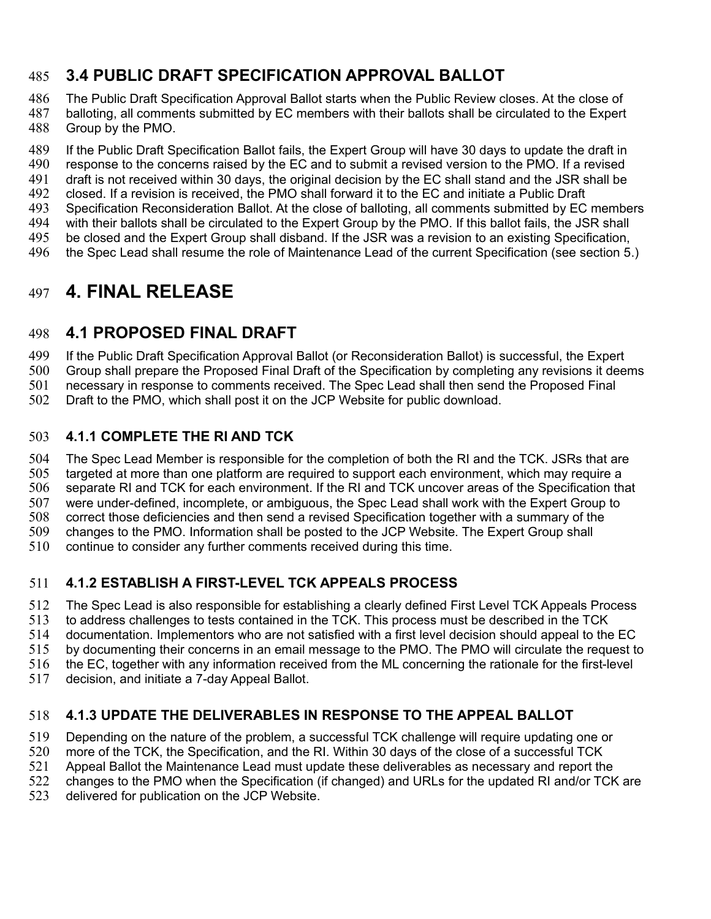## **3.4 PUBLIC DRAFT SPECIFICATION APPROVAL BALLOT**  485

The Public Draft Specification Approval Ballot starts when the Public Review closes. At the close of balloting, all comments submitted by EC members with their ballots shall be circulated to the Expert Group by the PMO. 486 487 488

If the Public Draft Specification Ballot fails, the Expert Group will have 30 days to update the draft in response to the concerns raised by the EC and to submit a revised version to the PMO. If a revised draft is not received within 30 days, the original decision by the EC shall stand and the JSR shall be closed. If a revision is received, the PMO shall forward it to the EC and initiate a Public Draft Specification Reconsideration Ballot. At the close of balloting, all comments submitted by EC members with their ballots shall be circulated to the Expert Group by the PMO. If this ballot fails, the JSR shall be closed and the Expert Group shall disband. If the JSR was a revision to an existing Specification, the Spec Lead shall resume the role of Maintenance Lead of the current Specification (see section 5.) 489 490 491 492 493 494 495 496

# **4. FINAL RELEASE** 497

## **4.1 PROPOSED FINAL DRAFT**  498

If the Public Draft Specification Approval Ballot (or Reconsideration Ballot) is successful, the Expert 499

Group shall prepare the Proposed Final Draft of the Specification by completing any revisions it deems 500

necessary in response to comments received. The Spec Lead shall then send the Proposed Final 501

Draft to the PMO, which shall post it on the JCP Website for public download. 502

#### **4.1.1 COMPLETE THE RI AND TCK**  503

The Spec Lead Member is responsible for the completion of both the RI and the TCK. JSRs that are targeted at more than one platform are required to support each environment, which may require a separate RI and TCK for each environment. If the RI and TCK uncover areas of the Specification that were under-defined, incomplete, or ambiguous, the Spec Lead shall work with the Expert Group to correct those deficiencies and then send a revised Specification together with a summary of the changes to the PMO. Information shall be posted to the JCP Website. The Expert Group shall continue to consider any further comments received during this time. 504 505 506 507 508 509 510

### **4.1.2 ESTABLISH A FIRST-LEVEL TCK APPEALS PROCESS**  511

The Spec Lead is also responsible for establishing a clearly defined First Level TCK Appeals Process to address challenges to tests contained in the TCK. This process must be described in the TCK documentation. Implementors who are not satisfied with a first level decision should appeal to the EC 512 513 514

by documenting their concerns in an email message to the PMO. The PMO will circulate the request to 515

the EC, together with any information received from the ML concerning the rationale for the first-level 516

decision, and initiate a 7-day Appeal Ballot. 517

#### **4.1.3 UPDATE THE DELIVERABLES IN RESPONSE TO THE APPEAL BALLOT** 518

Depending on the nature of the problem, a successful TCK challenge will require updating one or 519

more of the TCK, the Specification, and the RI. Within 30 days of the close of a successful TCK 520

Appeal Ballot the Maintenance Lead must update these deliverables as necessary and report the 521

changes to the PMO when the Specification (if changed) and URLs for the updated RI and/or TCK are 522

delivered for publication on the JCP Website. 523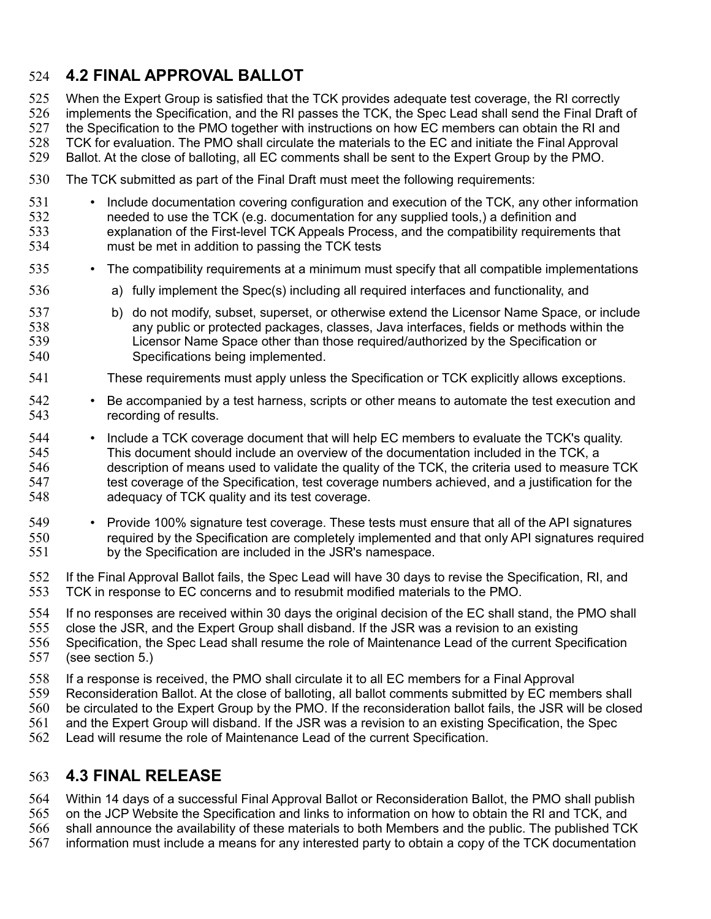# **4.2 FINAL APPROVAL BALLOT**  524

536

When the Expert Group is satisfied that the TCK provides adequate test coverage, the RI correctly implements the Specification, and the RI passes the TCK, the Spec Lead shall send the Final Draft of 525 526

the Specification to the PMO together with instructions on how EC members can obtain the RI and 527

TCK for evaluation. The PMO shall circulate the materials to the EC and initiate the Final Approval 528

Ballot. At the close of balloting, all EC comments shall be sent to the Expert Group by the PMO. 529

- The TCK submitted as part of the Final Draft must meet the following requirements: 530
- Include documentation covering configuration and execution of the TCK, any other information needed to use the TCK (e.g. documentation for any supplied tools,) a definition and explanation of the First-level TCK Appeals Process, and the compatibility requirements that must be met in addition to passing the TCK tests 531 532 533 534
- The compatibility requirements at a minimum must specify that all compatible implementations 535
	- a) fully implement the Spec(s) including all required interfaces and functionality, and
- b) do not modify, subset, superset, or otherwise extend the Licensor Name Space, or include any public or protected packages, classes, Java interfaces, fields or methods within the Licensor Name Space other than those required/authorized by the Specification or Specifications being implemented. 537 538 539 540
- These requirements must apply unless the Specification or TCK explicitly allows exceptions. 541
- Be accompanied by a test harness, scripts or other means to automate the test execution and recording of results. 542 543
- Include a TCK coverage document that will help EC members to evaluate the TCK's quality. This document should include an overview of the documentation included in the TCK, a description of means used to validate the quality of the TCK, the criteria used to measure TCK test coverage of the Specification, test coverage numbers achieved, and a justification for the adequacy of TCK quality and its test coverage. 544 545 546 547 548
- Provide 100% signature test coverage. These tests must ensure that all of the API signatures required by the Specification are completely implemented and that only API signatures required by the Specification are included in the JSR's namespace. 549 550 551
- If the Final Approval Ballot fails, the Spec Lead will have 30 days to revise the Specification, RI, and TCK in response to EC concerns and to resubmit modified materials to the PMO. 552 553
- If no responses are received within 30 days the original decision of the EC shall stand, the PMO shall 554
- close the JSR, and the Expert Group shall disband. If the JSR was a revision to an existing 555
- Specification, the Spec Lead shall resume the role of Maintenance Lead of the current Specification (see section 5.) 556 557
- If a response is received, the PMO shall circulate it to all EC members for a Final Approval 558
- Reconsideration Ballot. At the close of balloting, all ballot comments submitted by EC members shall 559
- be circulated to the Expert Group by the PMO. If the reconsideration ballot fails, the JSR will be closed 560
- and the Expert Group will disband. If the JSR was a revision to an existing Specification, the Spec 561
- Lead will resume the role of Maintenance Lead of the current Specification. 562

#### **4.3 FINAL RELEASE**  563

Within 14 days of a successful Final Approval Ballot or Reconsideration Ballot, the PMO shall publish 564

on the JCP Website the Specification and links to information on how to obtain the RI and TCK, and 565

shall announce the availability of these materials to both Members and the public. The published TCK 566

information must include a means for any interested party to obtain a copy of the TCK documentation 567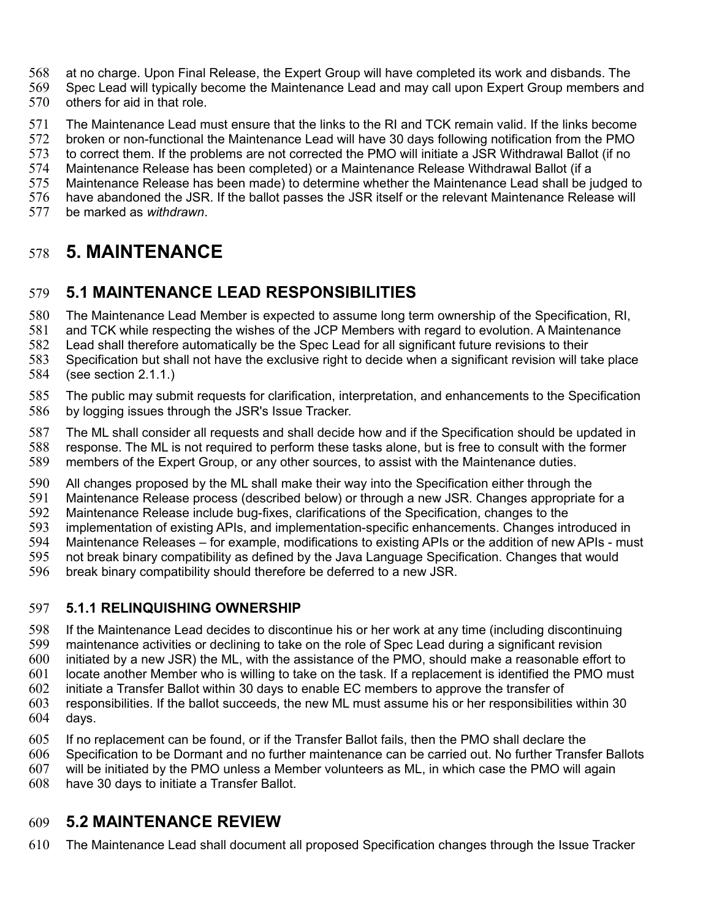- at no charge. Upon Final Release, the Expert Group will have completed its work and disbands. The 568
- Spec Lead will typically become the Maintenance Lead and may call upon Expert Group members and others for aid in that role. 569 570
- The Maintenance Lead must ensure that the links to the RI and TCK remain valid. If the links become 571
- broken or non-functional the Maintenance Lead will have 30 days following notification from the PMO 572
- to correct them. If the problems are not corrected the PMO will initiate a JSR Withdrawal Ballot (if no 573
- Maintenance Release has been completed) or a Maintenance Release Withdrawal Ballot (if a 574 575
- Maintenance Release has been made) to determine whether the Maintenance Lead shall be judged to
- have abandoned the JSR. If the ballot passes the JSR itself or the relevant Maintenance Release will 576
- be marked as *withdrawn*. 577

# **5. MAINTENANCE** 578

#### **5.1 MAINTENANCE LEAD RESPONSIBILITIES** 579

The Maintenance Lead Member is expected to assume long term ownership of the Specification, RI, 580

and TCK while respecting the wishes of the JCP Members with regard to evolution. A Maintenance 581

Lead shall therefore automatically be the Spec Lead for all significant future revisions to their 582

- Specification but shall not have the exclusive right to decide when a significant revision will take place (see section 2.1.1.) 583 584
- The public may submit requests for clarification, interpretation, and enhancements to the Specification by logging issues through the JSR's Issue Tracker. 585 586
- The ML shall consider all requests and shall decide how and if the Specification should be updated in response. The ML is not required to perform these tasks alone, but is free to consult with the former members of the Expert Group, or any other sources, to assist with the Maintenance duties. 587 588 589
- All changes proposed by the ML shall make their way into the Specification either through the 590
- Maintenance Release process (described below) or through a new JSR. Changes appropriate for a 591
- Maintenance Release include bug-fixes, clarifications of the Specification, changes to the 592
- implementation of existing APIs, and implementation-specific enhancements. Changes introduced in 593
- Maintenance Releases for example, modifications to existing APIs or the addition of new APIs must 594
- not break binary compatibility as defined by the Java Language Specification. Changes that would 595
- break binary compatibility should therefore be deferred to a new JSR. 596

#### **5.1.1 RELINQUISHING OWNERSHIP** 597

- If the Maintenance Lead decides to discontinue his or her work at any time (including discontinuing maintenance activities or declining to take on the role of Spec Lead during a significant revision 598 599
- initiated by a new JSR) the ML, with the assistance of the PMO, should make a reasonable effort to 600
- locate another Member who is willing to take on the task. If a replacement is identified the PMO must 601
- initiate a Transfer Ballot within 30 days to enable EC members to approve the transfer of 602
- responsibilities. If the ballot succeeds, the new ML must assume his or her responsibilities within 30 days. 603 604
- If no replacement can be found, or if the Transfer Ballot fails, then the PMO shall declare the 605
- Specification to be Dormant and no further maintenance can be carried out. No further Transfer Ballots 606
- will be initiated by the PMO unless a Member volunteers as ML, in which case the PMO will again 607
- have 30 days to initiate a Transfer Ballot. 608

### **5.2 MAINTENANCE REVIEW**  609

The Maintenance Lead shall document all proposed Specification changes through the Issue Tracker 610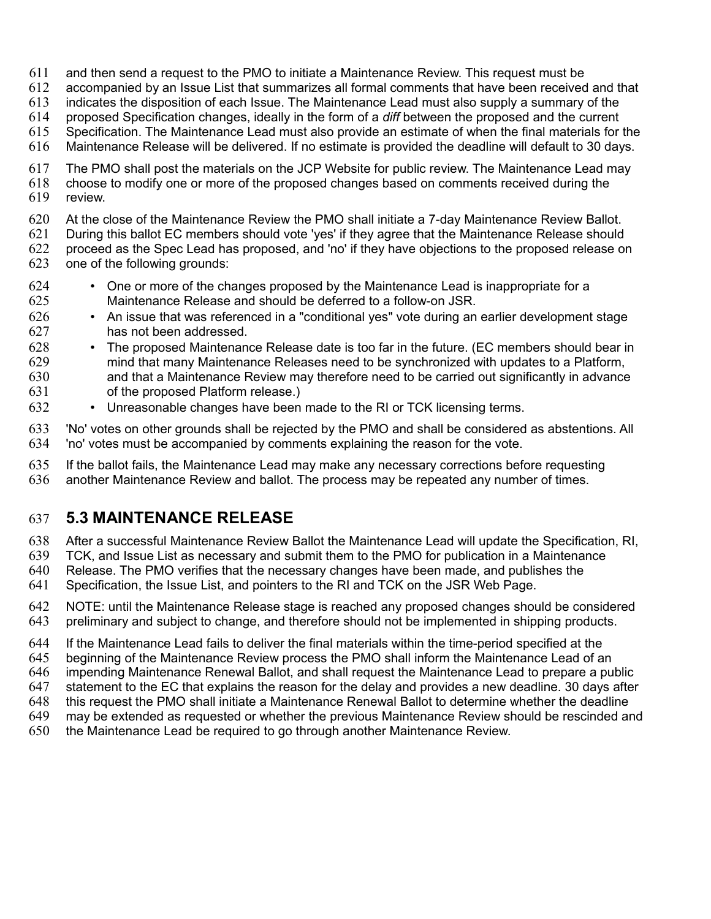- and then send a request to the PMO to initiate a Maintenance Review. This request must be 611
- accompanied by an Issue List that summarizes all formal comments that have been received and that 612
- indicates the disposition of each Issue. The Maintenance Lead must also supply a summary of the 613
- proposed Specification changes, ideally in the form of a *diff* between the proposed and the current 614
- Specification. The Maintenance Lead must also provide an estimate of when the final materials for the 615
- Maintenance Release will be delivered. If no estimate is provided the deadline will default to 30 days. 616
- The PMO shall post the materials on the JCP Website for public review. The Maintenance Lead may choose to modify one or more of the proposed changes based on comments received during the review. 617 618 619
- At the close of the Maintenance Review the PMO shall initiate a 7-day Maintenance Review Ballot. 620
- During this ballot EC members should vote 'yes' if they agree that the Maintenance Release should 621
- proceed as the Spec Lead has proposed, and 'no' if they have objections to the proposed release on one of the following grounds: 622 623
- One or more of the changes proposed by the Maintenance Lead is inappropriate for a Maintenance Release and should be deferred to a follow-on JSR. 624 625
- An issue that was referenced in a "conditional yes" vote during an earlier development stage has not been addressed. 626 627
- The proposed Maintenance Release date is too far in the future. (EC members should bear in mind that many Maintenance Releases need to be synchronized with updates to a Platform, and that a Maintenance Review may therefore need to be carried out significantly in advance of the proposed Platform release.) 628 629 630 631
- Unreasonable changes have been made to the RI or TCK licensing terms. 632
- 'No' votes on other grounds shall be rejected by the PMO and shall be considered as abstentions. All 'no' votes must be accompanied by comments explaining the reason for the vote. 633 634
- If the ballot fails, the Maintenance Lead may make any necessary corrections before requesting another Maintenance Review and ballot. The process may be repeated any number of times. 635 636

### **5.3 MAINTENANCE RELEASE** 637

- After a successful Maintenance Review Ballot the Maintenance Lead will update the Specification, RI, 638
- TCK, and Issue List as necessary and submit them to the PMO for publication in a Maintenance 639
- Release. The PMO verifies that the necessary changes have been made, and publishes the 640
- Specification, the Issue List, and pointers to the RI and TCK on the JSR Web Page. 641
- NOTE: until the Maintenance Release stage is reached any proposed changes should be considered preliminary and subject to change, and therefore should not be implemented in shipping products. 642 643
- If the Maintenance Lead fails to deliver the final materials within the time-period specified at the 644
- beginning of the Maintenance Review process the PMO shall inform the Maintenance Lead of an 645
- impending Maintenance Renewal Ballot, and shall request the Maintenance Lead to prepare a public 646
- statement to the EC that explains the reason for the delay and provides a new deadline. 30 days after 647
- this request the PMO shall initiate a Maintenance Renewal Ballot to determine whether the deadline 648
- may be extended as requested or whether the previous Maintenance Review should be rescinded and 649
- the Maintenance Lead be required to go through another Maintenance Review. 650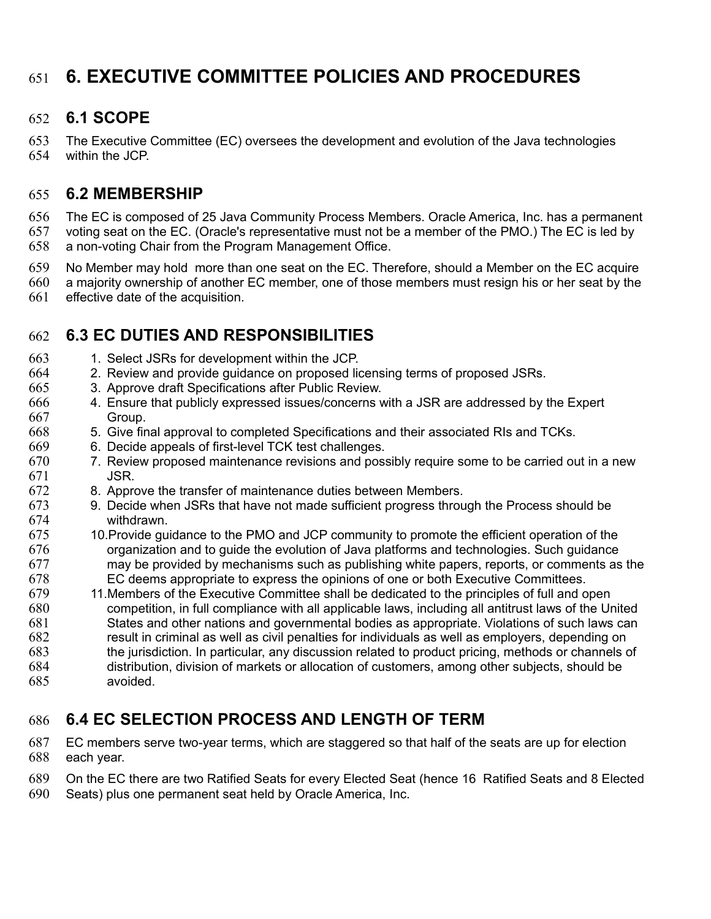# **6. EXECUTIVE COMMITTEE POLICIES AND PROCEDURES**  651

#### **6.1 SCOPE**  652

The Executive Committee (EC) oversees the development and evolution of the Java technologies within the JCP. 653 654

#### **6.2 MEMBERSHIP**  655

The EC is composed of 25 Java Community Process Members. Oracle America, Inc. has a permanent voting seat on the EC. (Oracle's representative must not be a member of the PMO.) The EC is led by a non-voting Chair from the Program Management Office. 656 657 658

- No Member may hold more than one seat on the EC. Therefore, should a Member on the EC acquire 659
- a majority ownership of another EC member, one of those members must resign his or her seat by the effective date of the acquisition. 660 661

## **6.3 EC DUTIES AND RESPONSIBILITIES**  662

- 1. Select JSRs for development within the JCP. 663
- 2. Review and provide guidance on proposed licensing terms of proposed JSRs. 664
- 3. Approve draft Specifications after Public Review. 665
- 4. Ensure that publicly expressed issues/concerns with a JSR are addressed by the Expert Group. 666 667
- 5. Give final approval to completed Specifications and their associated RIs and TCKs. 668
- 6. Decide appeals of first-level TCK test challenges. 669
- 7. Review proposed maintenance revisions and possibly require some to be carried out in a new JSR. 670 671
- 8. Approve the transfer of maintenance duties between Members. 672
- 9. Decide when JSRs that have not made sufficient progress through the Process should be withdrawn. 673 674
- 10.Provide guidance to the PMO and JCP community to promote the efficient operation of the organization and to guide the evolution of Java platforms and technologies. Such guidance may be provided by mechanisms such as publishing white papers, reports, or comments as the EC deems appropriate to express the opinions of one or both Executive Committees. 675 676 677 678
- 11.Members of the Executive Committee shall be dedicated to the principles of full and open competition, in full compliance with all applicable laws, including all antitrust laws of the United States and other nations and governmental bodies as appropriate. Violations of such laws can result in criminal as well as civil penalties for individuals as well as employers, depending on the jurisdiction. In particular, any discussion related to product pricing, methods or channels of distribution, division of markets or allocation of customers, among other subjects, should be avoided. 679 680 681 682 683 684 685

## **6.4 EC SELECTION PROCESS AND LENGTH OF TERM**  686

- EC members serve two-year terms, which are staggered so that half of the seats are up for election each year. 687 688
- On the EC there are two Ratified Seats for every Elected Seat (hence 16 Ratified Seats and 8 Elected 689
- Seats) plus one permanent seat held by Oracle America, Inc. 690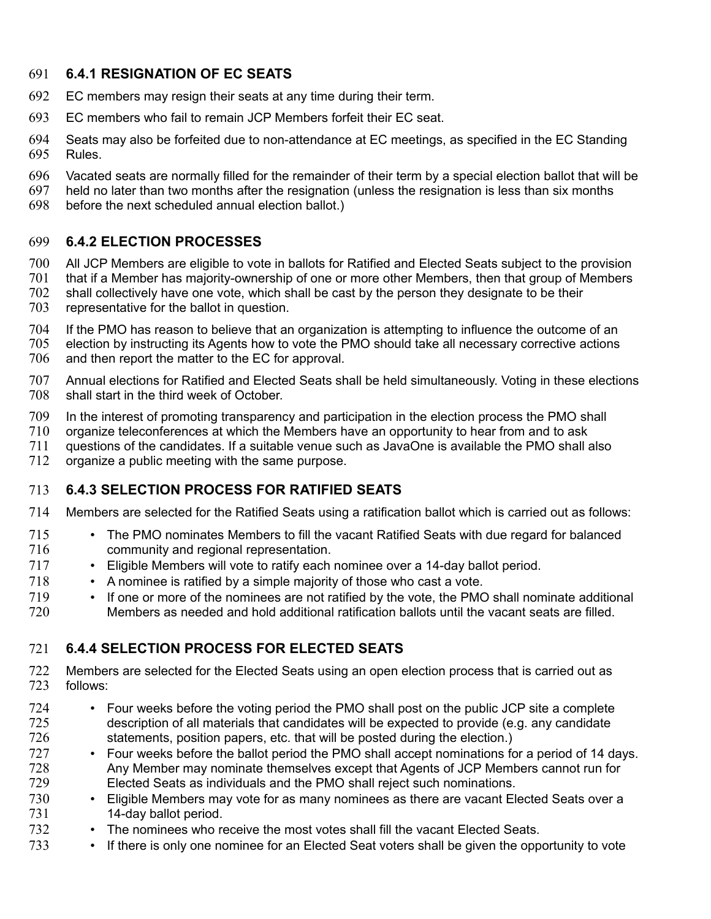#### **6.4.1 RESIGNATION OF EC SEATS**  691

- EC members may resign their seats at any time during their term. 692
- EC members who fail to remain JCP Members forfeit their EC seat. 693
- Seats may also be forfeited due to non-attendance at EC meetings, as specified in the EC Standing Rules. 694 695
- Vacated seats are normally filled for the remainder of their term by a special election ballot that will be 696
- held no later than two months after the resignation (unless the resignation is less than six months 697
- before the next scheduled annual election ballot.) 698

#### **6.4.2 ELECTION PROCESSES** 699

- All JCP Members are eligible to vote in ballots for Ratified and Elected Seats subject to the provision 700
- that if a Member has majority-ownership of one or more other Members, then that group of Members 701
- shall collectively have one vote, which shall be cast by the person they designate to be their 702
- representative for the ballot in question. 703
- If the PMO has reason to believe that an organization is attempting to influence the outcome of an election by instructing its Agents how to vote the PMO should take all necessary corrective actions and then report the matter to the EC for approval. 704 705 706
- Annual elections for Ratified and Elected Seats shall be held simultaneously. Voting in these elections shall start in the third week of October. 707 708
- In the interest of promoting transparency and participation in the election process the PMO shall 709
- organize teleconferences at which the Members have an opportunity to hear from and to ask 710
- questions of the candidates. If a suitable venue such as JavaOne is available the PMO shall also 711
- organize a public meeting with the same purpose. 712

#### **6.4.3 SELECTION PROCESS FOR RATIFIED SEATS**  713

- Members are selected for the Ratified Seats using a ratification ballot which is carried out as follows: 714
- The PMO nominates Members to fill the vacant Ratified Seats with due regard for balanced community and regional representation. 715 716
- Eligible Members will vote to ratify each nominee over a 14-day ballot period. 717
- A nominee is ratified by a simple majority of those who cast a vote. 718
- If one or more of the nominees are not ratified by the vote, the PMO shall nominate additional Members as needed and hold additional ratification ballots until the vacant seats are filled. 719 720

#### **6.4.4 SELECTION PROCESS FOR ELECTED SEATS**  721

- Members are selected for the Elected Seats using an open election process that is carried out as follows: 722 723
- Four weeks before the voting period the PMO shall post on the public JCP site a complete description of all materials that candidates will be expected to provide (e.g. any candidate statements, position papers, etc. that will be posted during the election.) 724 725 726
- Four weeks before the ballot period the PMO shall accept nominations for a period of 14 days. Any Member may nominate themselves except that Agents of JCP Members cannot run for Elected Seats as individuals and the PMO shall reject such nominations. 727 728 729
- Eligible Members may vote for as many nominees as there are vacant Elected Seats over a 14-day ballot period. 730 731
- The nominees who receive the most votes shall fill the vacant Elected Seats. 732
- If there is only one nominee for an Elected Seat voters shall be given the opportunity to vote 733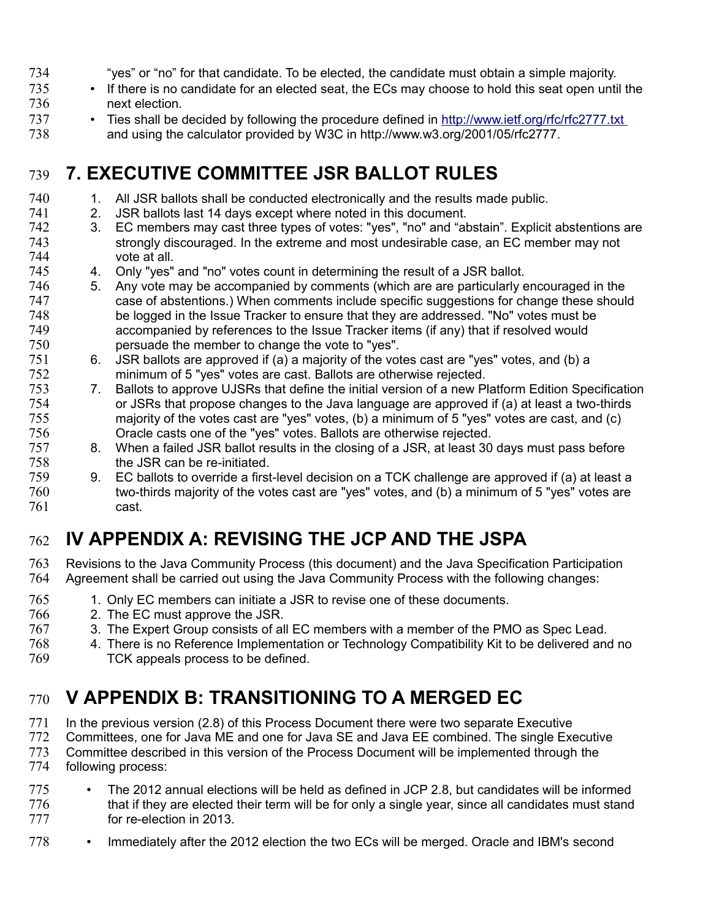- "yes" or "no" for that candidate. To be elected, the candidate must obtain a simple majority. 734
- If there is no candidate for an elected seat, the ECs may choose to hold this seat open until the next election. 735 736
- Ties shall be decided by following the procedure defined in<http://www.ietf.org/rfc/rfc2777.txt> and using the calculator provided by W3C in http://www.w3.org/2001/05/rfc2777. 737 738

# **7. EXECUTIVE COMMITTEE JSR BALLOT RULES**  739

- 1. All JSR ballots shall be conducted electronically and the results made public. 740
- 2. JSR ballots last 14 days except where noted in this document. 741
- 3. EC members may cast three types of votes: "yes", "no" and "abstain". Explicit abstentions are strongly discouraged. In the extreme and most undesirable case, an EC member may not vote at all. 742 743 744
- 4. Only "yes" and "no" votes count in determining the result of a JSR ballot. 745
- 5. Any vote may be accompanied by comments (which are are particularly encouraged in the case of abstentions.) When comments include specific suggestions for change these should be logged in the Issue Tracker to ensure that they are addressed. "No" votes must be accompanied by references to the Issue Tracker items (if any) that if resolved would persuade the member to change the vote to "yes". 746 747 748 749 750
- 6. JSR ballots are approved if (a) a majority of the votes cast are "yes" votes, and (b) a minimum of 5 "yes" votes are cast. Ballots are otherwise rejected. 751 752
- 7. Ballots to approve UJSRs that define the initial version of a new Platform Edition Specification or JSRs that propose changes to the Java language are approved if (a) at least a two-thirds majority of the votes cast are "yes" votes, (b) a minimum of 5 "yes" votes are cast, and (c) Oracle casts one of the "yes" votes. Ballots are otherwise rejected. 753 754 755 756
- 8. When a failed JSR ballot results in the closing of a JSR, at least 30 days must pass before the JSR can be re-initiated. 757 758
- 9. EC ballots to override a first-level decision on a TCK challenge are approved if (a) at least a two-thirds majority of the votes cast are "yes" votes, and (b) a minimum of 5 "yes" votes are cast. 759 760 761

# **IV APPENDIX A: REVISING THE JCP AND THE JSPA** 762

- Revisions to the Java Community Process (this document) and the Java Specification Participation Agreement shall be carried out using the Java Community Process with the following changes: 763 764
- 1. Only EC members can initiate a JSR to revise one of these documents. 765
- 2. The EC must approve the JSR. 766
- 3. The Expert Group consists of all EC members with a member of the PMO as Spec Lead. 767
- 4. There is no Reference Implementation or Technology Compatibility Kit to be delivered and no TCK appeals process to be defined. 768 769

# **V APPENDIX B: TRANSITIONING TO A MERGED EC** 770

In the previous version (2.8) of this Process Document there were two separate Executive 771

- Committees, one for Java ME and one for Java SE and Java EE combined. The single Executive Committee described in this version of the Process Document will be implemented through the following process: 772 773 774
- The 2012 annual elections will be held as defined in JCP 2.8, but candidates will be informed that if they are elected their term will be for only a single year, since all candidates must stand for re-election in 2013. 775 776 777
- Immediately after the 2012 election the two ECs will be merged. Oracle and IBM's second 778